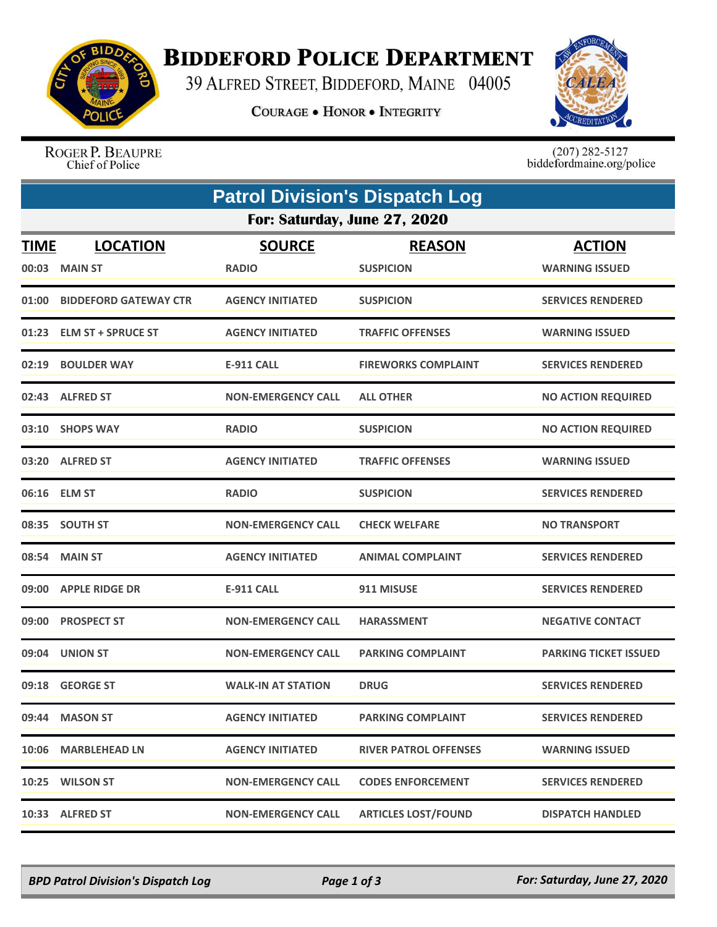

## **BIDDEFORD POLICE DEPARTMENT**

39 ALFRED STREET, BIDDEFORD, MAINE 04005

**COURAGE . HONOR . INTEGRITY** 



ROGER P. BEAUPRE Chief of Police

 $(207)$  282-5127<br>biddefordmaine.org/police

| <b>Patrol Division's Dispatch Log</b> |                                  |                               |                                   |                                        |  |  |  |
|---------------------------------------|----------------------------------|-------------------------------|-----------------------------------|----------------------------------------|--|--|--|
| For: Saturday, June 27, 2020          |                                  |                               |                                   |                                        |  |  |  |
| <b>TIME</b>                           | <b>LOCATION</b><br>00:03 MAIN ST | <b>SOURCE</b><br><b>RADIO</b> | <b>REASON</b><br><b>SUSPICION</b> | <b>ACTION</b><br><b>WARNING ISSUED</b> |  |  |  |
|                                       | 01:00 BIDDEFORD GATEWAY CTR      | <b>AGENCY INITIATED</b>       | <b>SUSPICION</b>                  | <b>SERVICES RENDERED</b>               |  |  |  |
|                                       | 01:23 ELM ST + SPRUCE ST         | <b>AGENCY INITIATED</b>       | <b>TRAFFIC OFFENSES</b>           | <b>WARNING ISSUED</b>                  |  |  |  |
|                                       | 02:19 BOULDER WAY                | <b>E-911 CALL</b>             | <b>FIREWORKS COMPLAINT</b>        | <b>SERVICES RENDERED</b>               |  |  |  |
|                                       | 02:43 ALFRED ST                  | <b>NON-EMERGENCY CALL</b>     | <b>ALL OTHER</b>                  | <b>NO ACTION REQUIRED</b>              |  |  |  |
|                                       | 03:10 SHOPS WAY                  | <b>RADIO</b>                  | <b>SUSPICION</b>                  | <b>NO ACTION REQUIRED</b>              |  |  |  |
|                                       | 03:20 ALFRED ST                  | <b>AGENCY INITIATED</b>       | <b>TRAFFIC OFFENSES</b>           | <b>WARNING ISSUED</b>                  |  |  |  |
|                                       | 06:16 ELM ST                     | <b>RADIO</b>                  | <b>SUSPICION</b>                  | <b>SERVICES RENDERED</b>               |  |  |  |
|                                       | 08:35 SOUTH ST                   | <b>NON-EMERGENCY CALL</b>     | <b>CHECK WELFARE</b>              | <b>NO TRANSPORT</b>                    |  |  |  |
| 08:54                                 | <b>MAIN ST</b>                   | <b>AGENCY INITIATED</b>       | <b>ANIMAL COMPLAINT</b>           | <b>SERVICES RENDERED</b>               |  |  |  |
|                                       | 09:00 APPLE RIDGE DR             | <b>E-911 CALL</b>             | 911 MISUSE                        | <b>SERVICES RENDERED</b>               |  |  |  |
| 09:00                                 | <b>PROSPECT ST</b>               | <b>NON-EMERGENCY CALL</b>     | <b>HARASSMENT</b>                 | <b>NEGATIVE CONTACT</b>                |  |  |  |
|                                       | 09:04 UNION ST                   | <b>NON-EMERGENCY CALL</b>     | <b>PARKING COMPLAINT</b>          | <b>PARKING TICKET ISSUED</b>           |  |  |  |
|                                       | 09:18 GEORGE ST                  | <b>WALK-IN AT STATION</b>     | <b>DRUG</b>                       | <b>SERVICES RENDERED</b>               |  |  |  |
|                                       | 09:44 MASON ST                   | <b>AGENCY INITIATED</b>       | <b>PARKING COMPLAINT</b>          | <b>SERVICES RENDERED</b>               |  |  |  |
|                                       | 10:06 MARBLEHEAD LN              | <b>AGENCY INITIATED</b>       | <b>RIVER PATROL OFFENSES</b>      | <b>WARNING ISSUED</b>                  |  |  |  |
|                                       | 10:25 WILSON ST                  | NON-EMERGENCY CALL            | <b>CODES ENFORCEMENT</b>          | <b>SERVICES RENDERED</b>               |  |  |  |
|                                       | 10:33 ALFRED ST                  | <b>NON-EMERGENCY CALL</b>     | <b>ARTICLES LOST/FOUND</b>        | <b>DISPATCH HANDLED</b>                |  |  |  |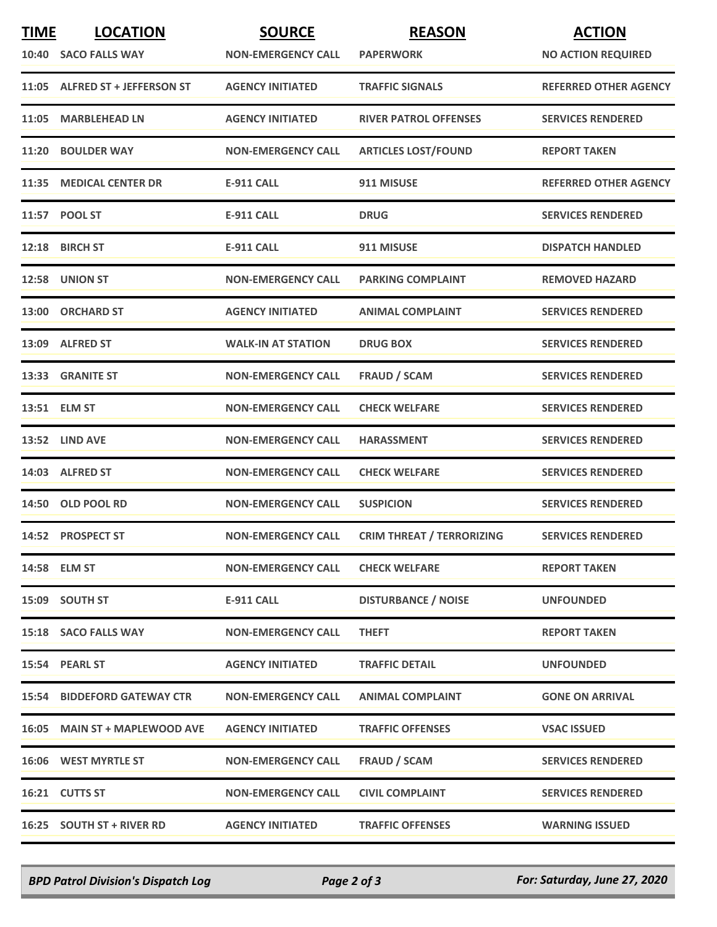| <b>TIME</b> | <b>LOCATION</b>                    | <b>SOURCE</b>             | <b>REASON</b>                    | <b>ACTION</b>                |
|-------------|------------------------------------|---------------------------|----------------------------------|------------------------------|
|             | 10:40 SACO FALLS WAY               | <b>NON-EMERGENCY CALL</b> | <b>PAPERWORK</b>                 | <b>NO ACTION REQUIRED</b>    |
|             | 11:05 ALFRED ST + JEFFERSON ST     | <b>AGENCY INITIATED</b>   | <b>TRAFFIC SIGNALS</b>           | <b>REFERRED OTHER AGENCY</b> |
| 11:05       | <b>MARBLEHEAD LN</b>               | <b>AGENCY INITIATED</b>   | <b>RIVER PATROL OFFENSES</b>     | <b>SERVICES RENDERED</b>     |
|             | 11:20 BOULDER WAY                  | <b>NON-EMERGENCY CALL</b> | <b>ARTICLES LOST/FOUND</b>       | <b>REPORT TAKEN</b>          |
| 11:35       | <b>MEDICAL CENTER DR</b>           | <b>E-911 CALL</b>         | 911 MISUSE                       | <b>REFERRED OTHER AGENCY</b> |
|             | 11:57 POOL ST                      | <b>E-911 CALL</b>         | <b>DRUG</b>                      | <b>SERVICES RENDERED</b>     |
|             | 12:18 BIRCH ST                     | <b>E-911 CALL</b>         | 911 MISUSE                       | <b>DISPATCH HANDLED</b>      |
|             | 12:58 UNION ST                     | <b>NON-EMERGENCY CALL</b> | <b>PARKING COMPLAINT</b>         | <b>REMOVED HAZARD</b>        |
|             | 13:00 ORCHARD ST                   | <b>AGENCY INITIATED</b>   | <b>ANIMAL COMPLAINT</b>          | <b>SERVICES RENDERED</b>     |
|             | 13:09 ALFRED ST                    | <b>WALK-IN AT STATION</b> | <b>DRUG BOX</b>                  | <b>SERVICES RENDERED</b>     |
|             | 13:33 GRANITE ST                   | <b>NON-EMERGENCY CALL</b> | <b>FRAUD / SCAM</b>              | <b>SERVICES RENDERED</b>     |
|             | 13:51 ELM ST                       | <b>NON-EMERGENCY CALL</b> | <b>CHECK WELFARE</b>             | <b>SERVICES RENDERED</b>     |
|             | 13:52 LIND AVE                     | <b>NON-EMERGENCY CALL</b> | <b>HARASSMENT</b>                | <b>SERVICES RENDERED</b>     |
|             | 14:03 ALFRED ST                    | <b>NON-EMERGENCY CALL</b> | <b>CHECK WELFARE</b>             | <b>SERVICES RENDERED</b>     |
|             | 14:50 OLD POOL RD                  | <b>NON-EMERGENCY CALL</b> | <b>SUSPICION</b>                 | <b>SERVICES RENDERED</b>     |
|             | 14:52 PROSPECT ST                  | <b>NON-EMERGENCY CALL</b> | <b>CRIM THREAT / TERRORIZING</b> | <b>SERVICES RENDERED</b>     |
|             | 14:58 ELM ST                       | <b>NON-EMERGENCY CALL</b> | <b>CHECK WELFARE</b>             | <b>REPORT TAKEN</b>          |
|             | 15:09 SOUTH ST                     | E-911 CALL                | <b>DISTURBANCE / NOISE</b>       | <b>UNFOUNDED</b>             |
|             | 15:18 SACO FALLS WAY               | <b>NON-EMERGENCY CALL</b> | <b>THEFT</b>                     | <b>REPORT TAKEN</b>          |
|             | 15:54 PEARL ST                     | <b>AGENCY INITIATED</b>   | <b>TRAFFIC DETAIL</b>            | <b>UNFOUNDED</b>             |
|             | <b>15:54 BIDDEFORD GATEWAY CTR</b> | <b>NON-EMERGENCY CALL</b> | <b>ANIMAL COMPLAINT</b>          | <b>GONE ON ARRIVAL</b>       |
|             | 16:05 MAIN ST + MAPLEWOOD AVE      | <b>AGENCY INITIATED</b>   | <b>TRAFFIC OFFENSES</b>          | <b>VSAC ISSUED</b>           |
|             | 16:06 WEST MYRTLE ST               | <b>NON-EMERGENCY CALL</b> | FRAUD / SCAM                     | <b>SERVICES RENDERED</b>     |
|             | 16:21 CUTTS ST                     | <b>NON-EMERGENCY CALL</b> | <b>CIVIL COMPLAINT</b>           | <b>SERVICES RENDERED</b>     |
|             | 16:25 SOUTH ST + RIVER RD          | <b>AGENCY INITIATED</b>   | <b>TRAFFIC OFFENSES</b>          | <b>WARNING ISSUED</b>        |

*BPD Patrol Division's Dispatch Log Page 2 of 3 For: Saturday, June 27, 2020*